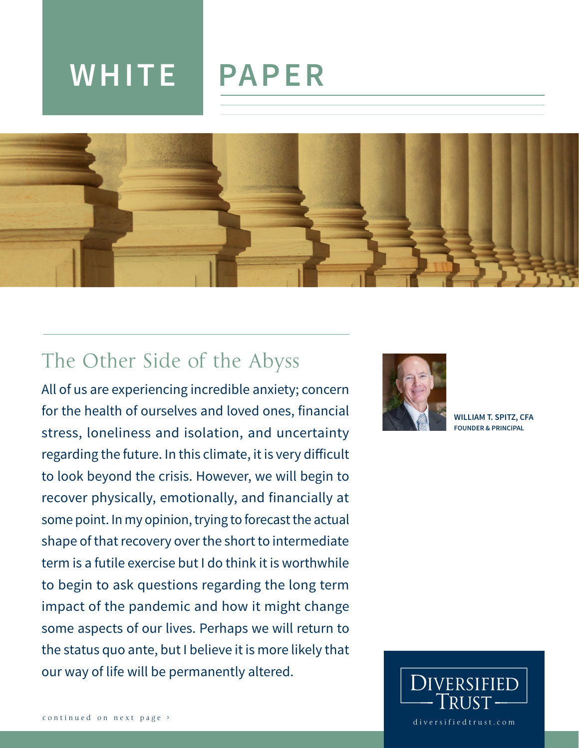# **WHITE PAPER**



## The Other Side of the Abyss

All of us are experiencing incredible anxiety; concern for the health of ourselves and loved ones, financial stress, loneliness and isolation, and uncertainty regarding the future. In this climate, it is very difficult to look beyond the crisis. However, we will begin to recover physically, emotionally, and financially at some point. In my opinion, trying to forecast the actual shape of that recovery over the short to intermediate term is a futile exercise but I do think it is worthwhile to begin to ask questions regarding the long term impact of the pandemic and how it might change some aspects of our lives. Perhaps we will return to the status quo ante, but I believe it is more likely that our way of life will be permanently altered.



**WILLIAM T. SPITZ, CFA FOUNDER & PRINCIPAL**

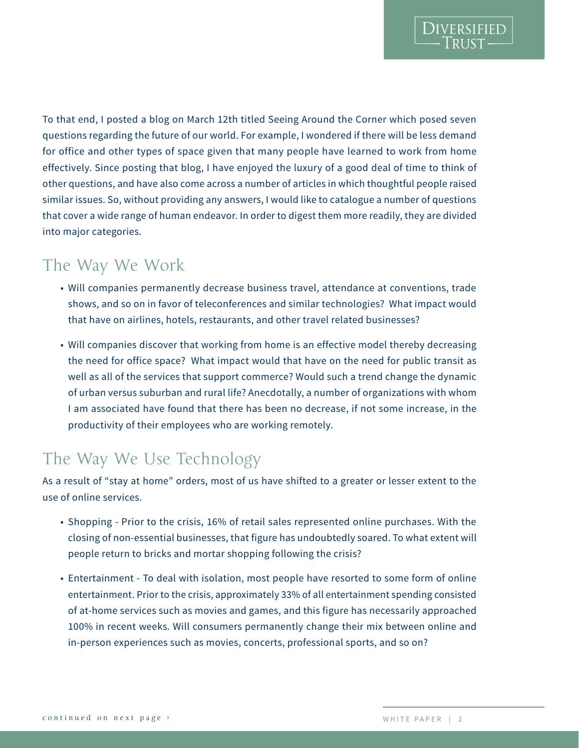To that end, I posted a blog on March 12th titled Seeing Around the Corner which posed seven questions regarding the future of our world. For example, I wondered if there will be less demand for office and other types of space given that many people have learned to work from home effectively. Since posting that blog, I have enjoyed the luxury of a good deal of time to think of other questions, and have also come across a number of articles in which thoughtful people raised similar issues. So, without providing any answers, I would like to catalogue a number of questions that cover a wide range of human endeavor. In order to digest them more readily, they are divided into major categories.

#### The Way We Work

- Will companies permanently decrease business travel, attendance at conventions, trade shows, and so on in favor of teleconferences and similar technologies? What impact would that have on airlines, hotels, restaurants, and other travel related businesses?
- Will companies discover that working from home is an effective model thereby decreasing the need for office space? What impact would that have on the need for public transit as well as all of the services that support commerce? Would such a trend change the dynamic of urban versus suburban and rural life? Anecdotally, a number of organizations with whom I am associated have found that there has been no decrease, if not some increase, in the productivity of their employees who are working remotely.

## The Way We Use Technology

As a result of "stay at home" orders, most of us have shifted to a greater or lesser extent to the use of online services.

- Shopping Prior to the crisis, 16% of retail sales represented online purchases. With the closing of non-essential businesses, that figure has undoubtedly soared. To what extent will people return to bricks and mortar shopping following the crisis?
- Entertainment To deal with isolation, most people have resorted to some form of online entertainment. Prior to the crisis, approximately 33% of all entertainment spending consisted of at-home services such as movies and games, and this figure has necessarily approached 100% in recent weeks. Will consumers permanently change their mix between online and in-person experiences such as movies, concerts, professional sports, and so on?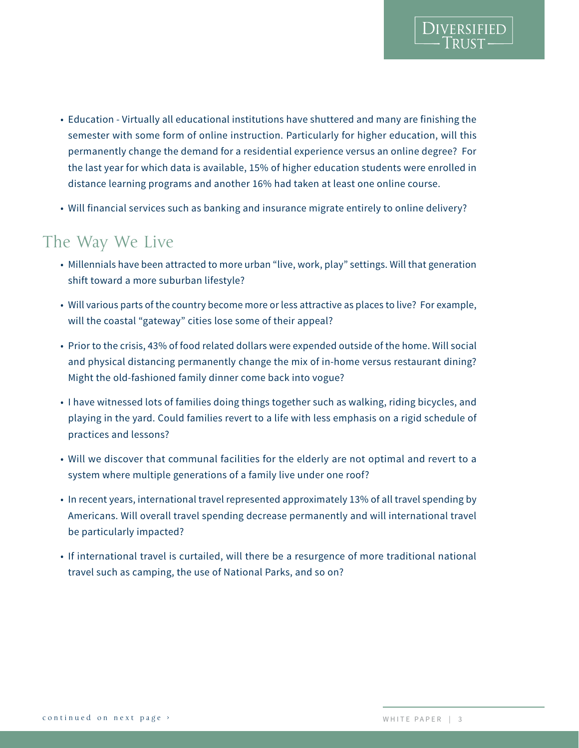- Education Virtually all educational institutions have shuttered and many are finishing the semester with some form of online instruction. Particularly for higher education, will this permanently change the demand for a residential experience versus an online degree? For the last year for which data is available, 15% of higher education students were enrolled in distance learning programs and another 16% had taken at least one online course.
- Will financial services such as banking and insurance migrate entirely to online delivery?

#### The Way We Live

- Millennials have been attracted to more urban "live, work, play" settings. Will that generation shift toward a more suburban lifestyle?
- Will various parts of the country become more or less attractive as places to live? For example, will the coastal "gateway" cities lose some of their appeal?
- Prior to the crisis, 43% of food related dollars were expended outside of the home. Will social and physical distancing permanently change the mix of in-home versus restaurant dining? Might the old-fashioned family dinner come back into vogue?
- I have witnessed lots of families doing things together such as walking, riding bicycles, and playing in the yard. Could families revert to a life with less emphasis on a rigid schedule of practices and lessons?
- Will we discover that communal facilities for the elderly are not optimal and revert to a system where multiple generations of a family live under one roof?
- In recent years, international travel represented approximately 13% of all travel spending by Americans. Will overall travel spending decrease permanently and will international travel be particularly impacted?
- If international travel is curtailed, will there be a resurgence of more traditional national travel such as camping, the use of National Parks, and so on?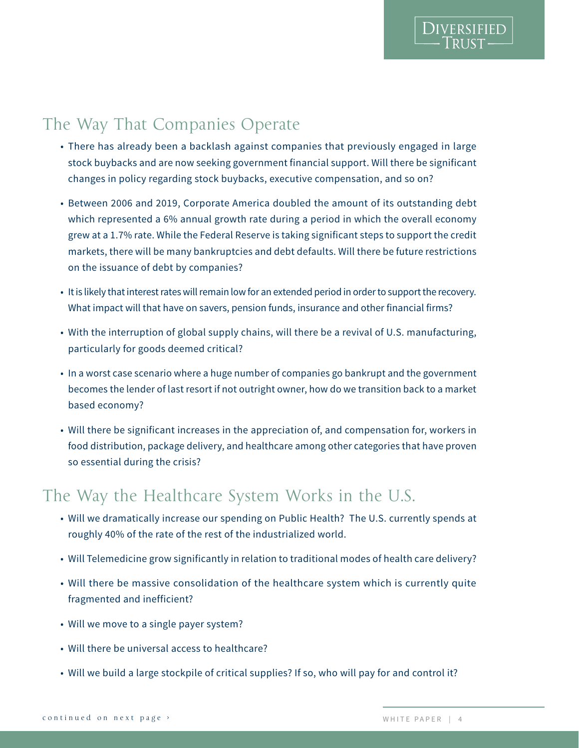## The Way That Companies Operate

- There has already been a backlash against companies that previously engaged in large stock buybacks and are now seeking government financial support. Will there be significant changes in policy regarding stock buybacks, executive compensation, and so on?
- Between 2006 and 2019, Corporate America doubled the amount of its outstanding debt which represented a 6% annual growth rate during a period in which the overall economy grew at a 1.7% rate. While the Federal Reserve is taking significant steps to support the credit markets, there will be many bankruptcies and debt defaults. Will there be future restrictions on the issuance of debt by companies?
- It is likely that interest rates will remain low for an extended period in order to support the recovery. What impact will that have on savers, pension funds, insurance and other financial firms?
- With the interruption of global supply chains, will there be a revival of U.S. manufacturing, particularly for goods deemed critical?
- In a worst case scenario where a huge number of companies go bankrupt and the government becomes the lender of last resort if not outright owner, how do we transition back to a market based economy?
- Will there be significant increases in the appreciation of, and compensation for, workers in food distribution, package delivery, and healthcare among other categories that have proven so essential during the crisis?

#### The Way the Healthcare System Works in the U.S.

- Will we dramatically increase our spending on Public Health? The U.S. currently spends at roughly 40% of the rate of the rest of the industrialized world.
- Will Telemedicine grow significantly in relation to traditional modes of health care delivery?
- Will there be massive consolidation of the healthcare system which is currently quite fragmented and inefficient?
- Will we move to a single payer system?
- Will there be universal access to healthcare?
- Will we build a large stockpile of critical supplies? If so, who will pay for and control it?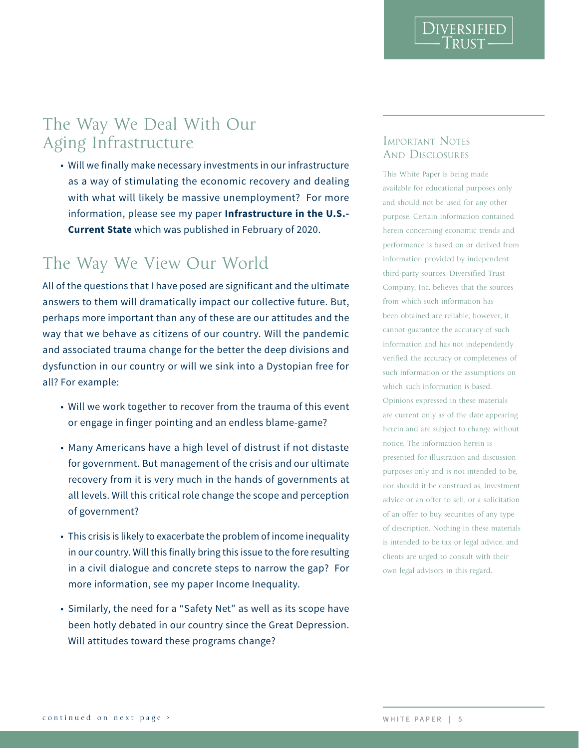DIVERSIFIED

### The Way We Deal With Our Aging Infrastructure

• Will we finally make necessary investments in our infrastructure as a way of stimulating the economic recovery and dealing with what will likely be massive unemployment? For more information, please see my paper **Infrastructure in the U.S.- Current State** which was published in February of 2020.

#### The Way We View Our World

All of the questions that I have posed are significant and the ultimate answers to them will dramatically impact our collective future. But, perhaps more important than any of these are our attitudes and the way that we behave as citizens of our country. Will the pandemic and associated trauma change for the better the deep divisions and dysfunction in our country or will we sink into a Dystopian free for all? For example:

- Will we work together to recover from the trauma of this event or engage in finger pointing and an endless blame-game?
- Many Americans have a high level of distrust if not distaste for government. But management of the crisis and our ultimate recovery from it is very much in the hands of governments at all levels. Will this critical role change the scope and perception of government?
- This crisis is likely to exacerbate the problem of income inequality in our country. Will this finally bring this issue to the fore resulting in a civil dialogue and concrete steps to narrow the gap? For more information, see my paper Income Inequality.
- Similarly, the need for a "Safety Net" as well as its scope have been hotly debated in our country since the Great Depression. Will attitudes toward these programs change?

# AND DISCLOSURES

Aging Infrastructurure<br>
solution infrastructure solution to the conomic recovery and dealing that when the state of the state of the state is solved in the massive unemployment? For more state which was the likely be mass This White Paper is being made available for educational purposes only and should not be used for any other purpose. Certain information contained herein concerning economic trends and performance is based on or derived from information provided by independent third-party sources. Diversified Trust Company, Inc. believes that the sources from which such information has been obtained are reliable; however, it cannot guarantee the accuracy of such information and has not independently verified the accuracy or completeness of such information or the assumptions on which such information is based. Opinions expressed in these materials are current only as of the date appearing herein and are subject to change without notice. The information herein is presented for illustration and discussion purposes only and is not intended to be, nor should it be construed as, investment advice or an offer to sell, or a solicitation of an offer to buy securities of any type of description. Nothing in these materials is intended to be tax or legal advice, and clients are urged to consult with their own legal advisors in this regard.